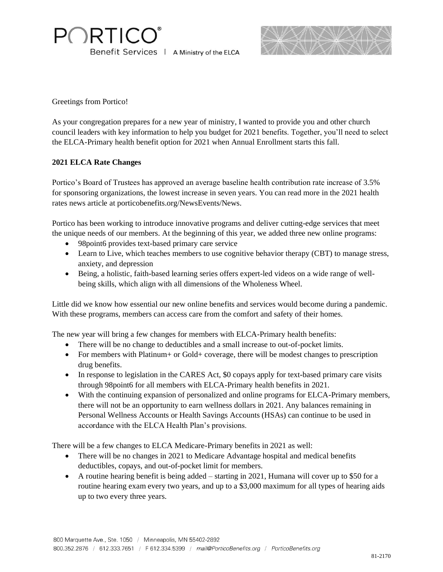**PORTICO** Benefit Services | A Ministry of the ELCA



Greetings from Portico!

As your congregation prepares for a new year of ministry, I wanted to provide you and other church council leaders with key information to help you budget for 2021 benefits. Together, you'll need to select the ELCA-Primary health benefit option for 2021 when Annual Enrollment starts this fall.

## **2021 ELCA Rate Changes**

Portico's Board of Trustees has approved an average baseline health contribution rate increase of 3.5% for sponsoring organizations, the lowest increase in seven years. You can read more in the 2021 health rates news article at porticobenefits.org/NewsEvents/News.

Portico has been working to introduce innovative programs and deliver cutting-edge services that meet the unique needs of our members. At the beginning of this year, we added three new online programs:

- 98 point 6 provides text-based primary care service
- Learn to Live, which teaches members to use cognitive behavior therapy (CBT) to manage stress, anxiety, and depression
- Being, a holistic, faith-based learning series offers expert-led videos on a wide range of wellbeing skills, which align with all dimensions of the Wholeness Wheel.

Little did we know how essential our new online benefits and services would become during a pandemic. With these programs, members can access care from the comfort and safety of their homes.

The new year will bring a few changes for members with ELCA-Primary health benefits:

- There will be no change to deductibles and a small increase to out-of-pocket limits.
- For members with Platinum + or Gold + coverage, there will be modest changes to prescription drug benefits.
- In response to legislation in the CARES Act, \$0 copays apply for text-based primary care visits through 98point6 for all members with ELCA-Primary health benefits in 2021.
- With the continuing expansion of personalized and online programs for ELCA-Primary members, there will not be an opportunity to earn wellness dollars in 2021. Any balances remaining in Personal Wellness Accounts or Health Savings Accounts (HSAs) can continue to be used in accordance with the ELCA Health Plan's provisions.

There will be a few changes to ELCA Medicare-Primary benefits in 2021 as well:

- There will be no changes in 2021 to Medicare Advantage hospital and medical benefits deductibles, copays, and out-of-pocket limit for members.
- A routine hearing benefit is being added starting in 2021, Humana will cover up to \$50 for a routine hearing exam every two years, and up to a \$3,000 maximum for all types of hearing aids up to two every three years.